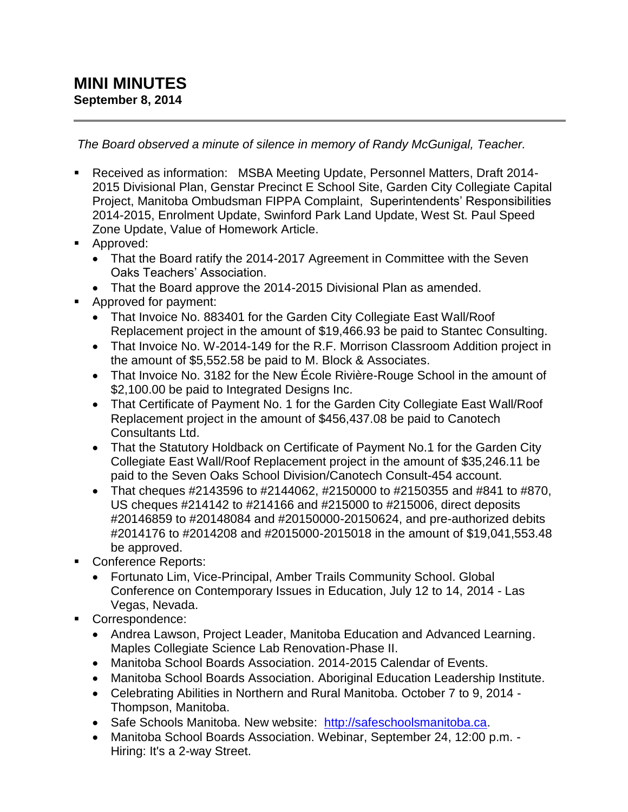*The Board observed a minute of silence in memory of Randy McGunigal, Teacher.*

- Received as information: MSBA Meeting Update, Personnel Matters, Draft 2014- 2015 Divisional Plan, Genstar Precinct E School Site, Garden City Collegiate Capital Project, Manitoba Ombudsman FIPPA Complaint, Superintendents' Responsibilities 2014-2015, Enrolment Update, Swinford Park Land Update, West St. Paul Speed Zone Update, Value of Homework Article.
- **Approved:** 
	- That the Board ratify the 2014-2017 Agreement in Committee with the Seven Oaks Teachers' Association.
	- That the Board approve the 2014-2015 Divisional Plan as amended.
- **Approved for payment:** 
	- That Invoice No. 883401 for the Garden City Collegiate East Wall/Roof Replacement project in the amount of \$19,466.93 be paid to Stantec Consulting.
	- That Invoice No. W-2014-149 for the R.F. Morrison Classroom Addition project in the amount of \$5,552.58 be paid to M. Block & Associates.
	- That Invoice No. 3182 for the New École Rivière-Rouge School in the amount of \$2,100.00 be paid to Integrated Designs Inc.
	- That Certificate of Payment No. 1 for the Garden City Collegiate East Wall/Roof Replacement project in the amount of \$456,437.08 be paid to Canotech Consultants Ltd.
	- That the Statutory Holdback on Certificate of Payment No.1 for the Garden City Collegiate East Wall/Roof Replacement project in the amount of \$35,246.11 be paid to the Seven Oaks School Division/Canotech Consult-454 account.
	- That cheques #2143596 to #2144062, #2150000 to #2150355 and #841 to #870, US cheques #214142 to #214166 and #215000 to #215006, direct deposits #20146859 to #20148084 and #20150000-20150624, and pre-authorized debits #2014176 to #2014208 and #2015000-2015018 in the amount of \$19,041,553.48 be approved.
- Conference Reports:
	- Fortunato Lim, Vice-Principal, Amber Trails Community School. Global Conference on Contemporary Issues in Education, July 12 to 14, 2014 - Las Vegas, Nevada.
- Correspondence:
	- Andrea Lawson, Project Leader, Manitoba Education and Advanced Learning. Maples Collegiate Science Lab Renovation-Phase II.
	- Manitoba School Boards Association. 2014-2015 Calendar of Events.
	- Manitoba School Boards Association. Aboriginal Education Leadership Institute.
	- Celebrating Abilities in Northern and Rural Manitoba. October 7 to 9, 2014 Thompson, Manitoba.
	- Safe Schools Manitoba. New website: [http://safeschoolsmanitoba.ca.](http://safeschoolsmanitoba.ca/)
	- Manitoba School Boards Association. Webinar, September 24, 12:00 p.m. Hiring: It's a 2-way Street.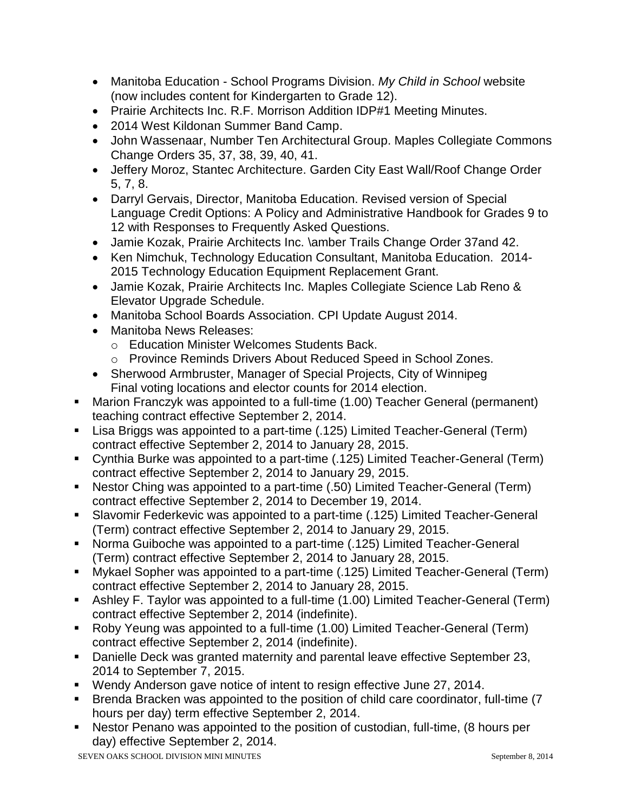- Manitoba Education School Programs Division. *My Child in School* website (now includes content for Kindergarten to Grade 12).
- Prairie Architects Inc. R.F. Morrison Addition IDP#1 Meeting Minutes.
- 2014 West Kildonan Summer Band Camp.
- John Wassenaar, Number Ten Architectural Group. Maples Collegiate Commons Change Orders 35, 37, 38, 39, 40, 41.
- Jeffery Moroz, Stantec Architecture. Garden City East Wall/Roof Change Order 5, 7, 8.
- Darryl Gervais, Director, Manitoba Education. Revised version of Special Language Credit Options: A Policy and Administrative Handbook for Grades 9 to 12 with Responses to Frequently Asked Questions.
- Jamie Kozak, Prairie Architects Inc. \amber Trails Change Order 37and 42.
- Ken Nimchuk, Technology Education Consultant, Manitoba Education. 2014-2015 Technology Education Equipment Replacement Grant.
- Jamie Kozak, Prairie Architects Inc. Maples Collegiate Science Lab Reno & Elevator Upgrade Schedule.
- Manitoba School Boards Association. CPI Update August 2014.
- Manitoba News Releases:
	- o Education Minister Welcomes Students Back.
	- o Province Reminds Drivers About Reduced Speed in School Zones.
- Sherwood Armbruster, Manager of Special Projects, City of Winnipeg Final voting locations and elector counts for 2014 election.
- Marion Franczyk was appointed to a full-time (1.00) Teacher General (permanent) teaching contract effective September 2, 2014.
- Lisa Briggs was appointed to a part-time (.125) Limited Teacher-General (Term) contract effective September 2, 2014 to January 28, 2015.
- Cynthia Burke was appointed to a part-time (.125) Limited Teacher-General (Term) contract effective September 2, 2014 to January 29, 2015.
- Nestor Ching was appointed to a part-time (.50) Limited Teacher-General (Term) contract effective September 2, 2014 to December 19, 2014.
- Slavomir Federkevic was appointed to a part-time (.125) Limited Teacher-General (Term) contract effective September 2, 2014 to January 29, 2015.
- Norma Guiboche was appointed to a part-time (.125) Limited Teacher-General (Term) contract effective September 2, 2014 to January 28, 2015.
- Mykael Sopher was appointed to a part-time (.125) Limited Teacher-General (Term) contract effective September 2, 2014 to January 28, 2015.
- Ashley F. Taylor was appointed to a full-time (1.00) Limited Teacher-General (Term) contract effective September 2, 2014 (indefinite).
- Roby Yeung was appointed to a full-time (1.00) Limited Teacher-General (Term) contract effective September 2, 2014 (indefinite).
- Danielle Deck was granted maternity and parental leave effective September 23, 2014 to September 7, 2015.
- Wendy Anderson gave notice of intent to resign effective June 27, 2014.
- Brenda Bracken was appointed to the position of child care coordinator, full-time (7 hours per day) term effective September 2, 2014.
- Nestor Penano was appointed to the position of custodian, full-time, (8 hours per day) effective September 2, 2014.

SEVEN OAKS SCHOOL DIVISION MINI MINUTES September 8, 2014